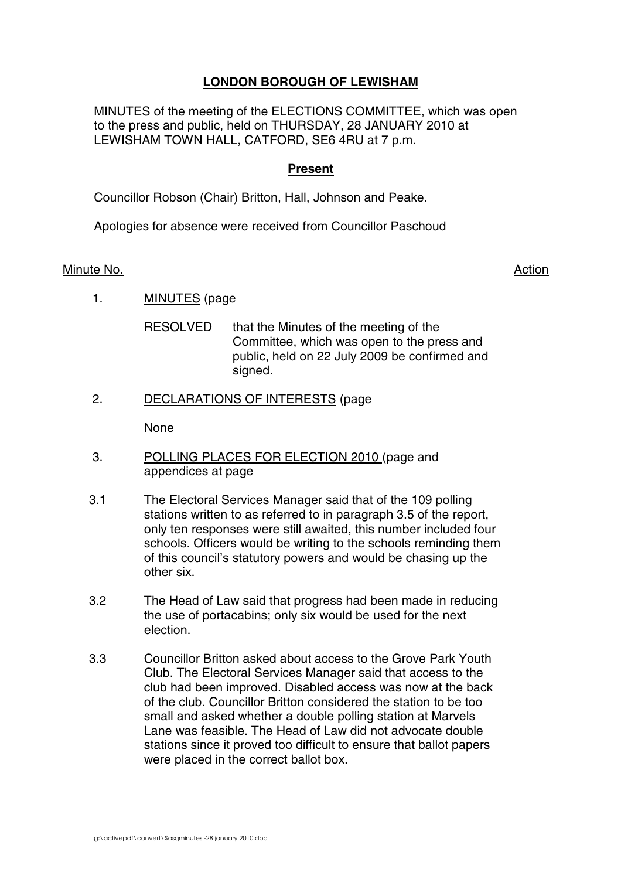# **LONDON BOROUGH OF LEWISHAM**

MINUTES of the meeting of the ELECTIONS COMMITTEE, which was open to the press and public, held on THURSDAY, 28 JANUARY 2010 at LEWISHAM TOWN HALL, CATFORD, SE6 4RU at 7 p.m.

## **Present**

Councillor Robson (Chair) Britton, Hall, Johnson and Peake.

Apologies for absence were received from Councillor Paschoud

#### Minute No. Action and the set of the set of the set of the set of the set of the set of the set of the set of the set of the set of the set of the set of the set of the set of the set of the set of the set of the set of th

1. MINUTES (page

RESOLVED that the Minutes of the meeting of the Committee, which was open to the press and public, held on 22 July 2009 be confirmed and signed.

2. DECLARATIONS OF INTERESTS (page

None

- 3. POLLING PLACES FOR ELECTION 2010 (page and appendices at page
- 3.1 The Electoral Services Manager said that of the 109 polling stations written to as referred to in paragraph 3.5 of the report, only ten responses were still awaited, this number included four schools. Officers would be writing to the schools reminding them of this council's statutory powers and would be chasing up the other six.
- 3.2 The Head of Law said that progress had been made in reducing the use of portacabins; only six would be used for the next election.
- 3.3 Councillor Britton asked about access to the Grove Park Youth Club. The Electoral Services Manager said that access to the club had been improved. Disabled access was now at the back of the club. Councillor Britton considered the station to be too small and asked whether a double polling station at Marvels Lane was feasible. The Head of Law did not advocate double stations since it proved too difficult to ensure that ballot papers were placed in the correct ballot box.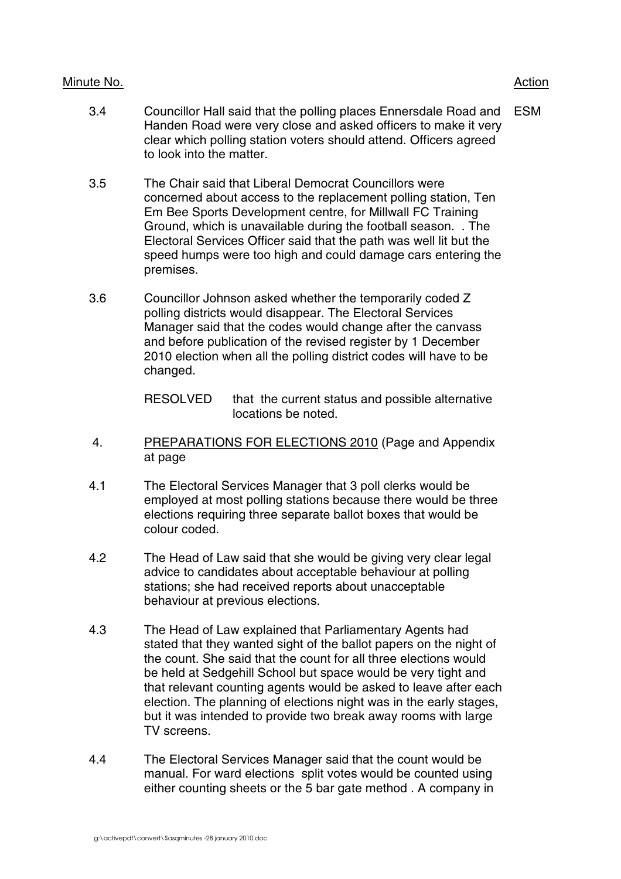### Minute No. 2008 2012 2022 2023 2024 2022 2022 2023 2024 2022 2023 2024 2022 2023 2024 2022 2023 2024 2022 2023

- 3.4 Councillor Hall said that the polling places Ennersdale Road and Handen Road were very close and asked officers to make it very clear which polling station voters should attend. Officers agreed to look into the matter. ESM
- 3.5 The Chair said that Liberal Democrat Councillors were concerned about access to the replacement polling station, Ten Em Bee Sports Development centre, for Millwall FC Training Ground, which is unavailable during the football season. . The Electoral Services Officer said that the path was well lit but the speed humps were too high and could damage cars entering the premises.
- 3.6 Councillor Johnson asked whether the temporarily coded Z polling districts would disappear. The Electoral Services Manager said that the codes would change after the canvass and before publication of the revised register by 1 December 2010 election when all the polling district codes will have to be changed.

RESOLVED that the current status and possible alternative locations be noted.

- 4. PREPARATIONS FOR ELECTIONS 2010 (Page and Appendix at page
- 4.1 The Electoral Services Manager that 3 poll clerks would be employed at most polling stations because there would be three elections requiring three separate ballot boxes that would be colour coded.
- 4.2 The Head of Law said that she would be giving very clear legal advice to candidates about acceptable behaviour at polling stations; she had received reports about unacceptable behaviour at previous elections.
- 4.3 The Head of Law explained that Parliamentary Agents had stated that they wanted sight of the ballot papers on the night of the count. She said that the count for all three elections would be held at Sedgehill School but space would be very tight and that relevant counting agents would be asked to leave after each election. The planning of elections night was in the early stages, but it was intended to provide two break away rooms with large TV screens.
- 4.4 The Electoral Services Manager said that the count would be manual. For ward elections split votes would be counted using either counting sheets or the 5 bar gate method . A company in